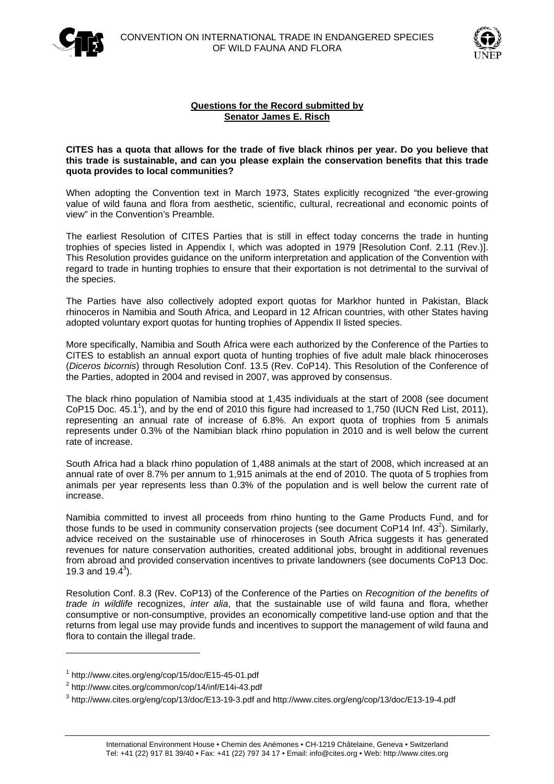



## **Questions for the Record submitted by Senator James E. Risch**

## **CITES has a quota that allows for the trade of five black rhinos per year. Do you believe that this trade is sustainable, and can you please explain the conservation benefits that this trade quota provides to local communities?**

When adopting the Convention text in March 1973. States explicitly recognized "the ever-growing value of wild fauna and flora from aesthetic, scientific, cultural, recreational and economic points of view" in the Convention's Preamble.

The earliest Resolution of CITES Parties that is still in effect today concerns the trade in hunting trophies of species listed in Appendix I, which was adopted in 1979 [Resolution Conf. 2.11 (Rev.)]. This Resolution provides guidance on the uniform interpretation and application of the Convention with regard to trade in hunting trophies to ensure that their exportation is not detrimental to the survival of the species.

The Parties have also collectively adopted export quotas for Markhor hunted in Pakistan, Black rhinoceros in Namibia and South Africa, and Leopard in 12 African countries, with other States having adopted voluntary export quotas for hunting trophies of Appendix II listed species.

More specifically, Namibia and South Africa were each authorized by the Conference of the Parties to CITES to establish an annual export quota of hunting trophies of five adult male black rhinoceroses (*Diceros bicornis*) through Resolution Conf. 13.5 (Rev. CoP14). This Resolution of the Conference of the Parties, adopted in 2004 and revised in 2007, was approved by consensus.

The black rhino population of Namibia stood at 1,435 individuals at the start of 2008 (see document CoP15 Doc.  $45.1^1$ ), and by the end of 2010 this figure had increased to 1,750 (IUCN Red List, 2011), representing an annual rate of increase of 6.8%. An export quota of trophies from 5 animals represents under 0.3% of the Namibian black rhino population in 2010 and is well below the current rate of increase.

South Africa had a black rhino population of 1,488 animals at the start of 2008, which increased at an annual rate of over 8.7% per annum to 1,915 animals at the end of 2010. The quota of 5 trophies from animals per year represents less than 0.3% of the population and is well below the current rate of increase.

Namibia committed to invest all proceeds from rhino hunting to the Game Products Fund, and for those funds to be used in community conservation projects (see document CoP14 Inf. 43<sup>2</sup>). Similarly, advice received on the sustainable use of rhinoceroses in South Africa suggests it has generated revenues for nature conservation authorities, created additional jobs, brought in additional revenues from abroad and provided conservation incentives to private landowners (see documents CoP13 Doc. 19.3 and  $19.4^3$ ).

Resolution Conf. 8.3 (Rev. CoP13) of the Conference of the Parties on *Recognition of the benefits of trade in wildlife* recognizes, *inter alia*, that the sustainable use of wild fauna and flora, whether consumptive or non-consumptive, provides an economically competitive land-use option and that the returns from legal use may provide funds and incentives to support the management of wild fauna and flora to contain the illegal trade.

 $\overline{a}$ 

<sup>&</sup>lt;sup>1</sup> http://www.cites.org/eng/cop/15/doc/E15-45-01.pdf<br><sup>2</sup> http://www.cites.org/eamman/cap/14/inf/E14i-42.pdf

http://www.cites.org/common/cop/14/inf/E14i-43.pdf

<sup>3</sup> http://www.cites.org/eng/cop/13/doc/E13-19-3.pdf and http://www.cites.org/eng/cop/13/doc/E13-19-4.pdf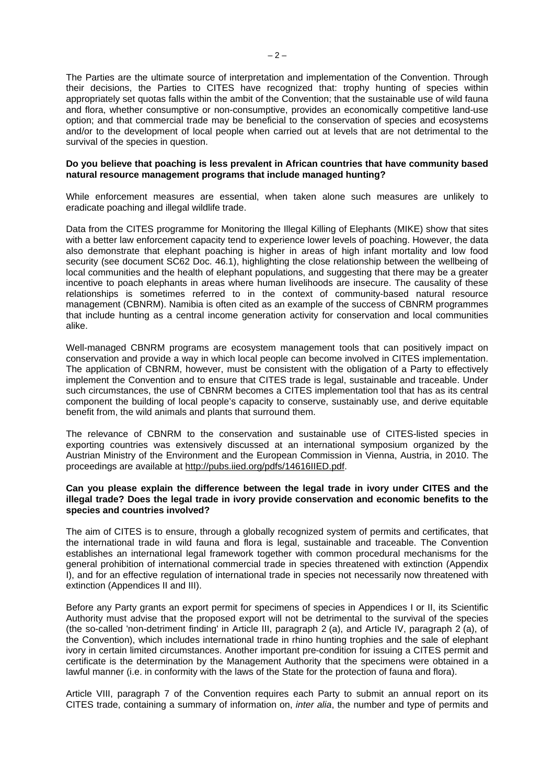The Parties are the ultimate source of interpretation and implementation of the Convention. Through their decisions, the Parties to CITES have recognized that: trophy hunting of species within appropriately set quotas falls within the ambit of the Convention; that the sustainable use of wild fauna and flora, whether consumptive or non-consumptive, provides an economically competitive land-use option; and that commercial trade may be beneficial to the conservation of species and ecosystems and/or to the development of local people when carried out at levels that are not detrimental to the survival of the species in question.

## **Do you believe that poaching is less prevalent in African countries that have community based natural resource management programs that include managed hunting?**

While enforcement measures are essential, when taken alone such measures are unlikely to eradicate poaching and illegal wildlife trade.

Data from the CITES programme for Monitoring the Illegal Killing of Elephants (MIKE) show that sites with a better law enforcement capacity tend to experience lower levels of poaching. However, the data also demonstrate that elephant poaching is higher in areas of high infant mortality and low food security (see document SC62 Doc. 46.1), highlighting the close relationship between the wellbeing of local communities and the health of elephant populations, and suggesting that there may be a greater incentive to poach elephants in areas where human livelihoods are insecure. The causality of these relationships is sometimes referred to in the context of community-based natural resource management (CBNRM). Namibia is often cited as an example of the success of CBNRM programmes that include hunting as a central income generation activity for conservation and local communities alike.

Well-managed CBNRM programs are ecosystem management tools that can positively impact on conservation and provide a way in which local people can become involved in CITES implementation. The application of CBNRM, however, must be consistent with the obligation of a Party to effectively implement the Convention and to ensure that CITES trade is legal, sustainable and traceable. Under such circumstances, the use of CBNRM becomes a CITES implementation tool that has as its central component the building of local people's capacity to conserve, sustainably use, and derive equitable benefit from, the wild animals and plants that surround them.

The relevance of CBNRM to the conservation and sustainable use of CITES-listed species in exporting countries was extensively discussed at an international symposium organized by the Austrian Ministry of the Environment and the European Commission in Vienna, Austria, in 2010. The proceedings are available at http://pubs.iied.org/pdfs/14616IIED.pdf.

## **Can you please explain the difference between the legal trade in ivory under CITES and the illegal trade? Does the legal trade in ivory provide conservation and economic benefits to the species and countries involved?**

The aim of CITES is to ensure, through a globally recognized system of permits and certificates, that the international trade in wild fauna and flora is legal, sustainable and traceable. The Convention establishes an international legal framework together with common procedural mechanisms for the general prohibition of international commercial trade in species threatened with extinction (Appendix I), and for an effective regulation of international trade in species not necessarily now threatened with extinction (Appendices II and III).

Before any Party grants an export permit for specimens of species in Appendices I or II, its Scientific Authority must advise that the proposed export will not be detrimental to the survival of the species (the so-called 'non-detriment finding' in Article III, paragraph 2 (a), and Article IV, paragraph 2 (a), of the Convention), which includes international trade in rhino hunting trophies and the sale of elephant ivory in certain limited circumstances. Another important pre-condition for issuing a CITES permit and certificate is the determination by the Management Authority that the specimens were obtained in a lawful manner (i.e. in conformity with the laws of the State for the protection of fauna and flora).

Article VIII, paragraph 7 of the Convention requires each Party to submit an annual report on its CITES trade, containing a summary of information on, *inter alia*, the number and type of permits and